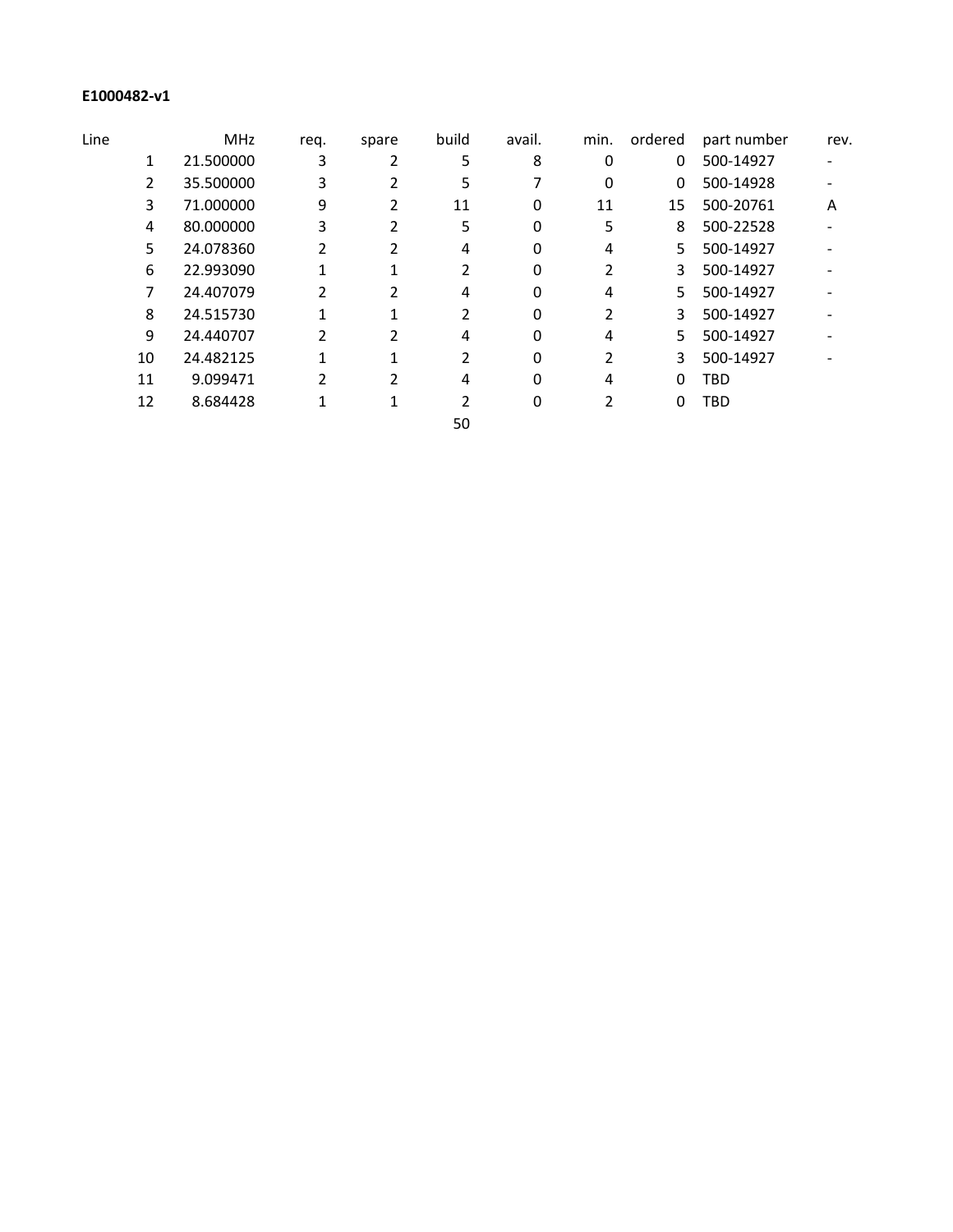## **E1000482-v1**

| Line |    | <b>MHz</b> | req. | spare | build | avail. | min. | ordered | part number | rev. |
|------|----|------------|------|-------|-------|--------|------|---------|-------------|------|
|      | 1  | 21.500000  | 3    | 2     | 5     | 8      | 0    | 0       | 500-14927   |      |
|      | 2  | 35.500000  | 3    |       | 5     |        | 0    | 0       | 500-14928   |      |
|      | 3  | 71.000000  | 9    | 2     | 11    | 0      | 11   | 15      | 500-20761   | A    |
|      | 4  | 80.000000  | 3    | 2     | 5     | 0      | 5    | 8       | 500-22528   |      |
|      | 5  | 24.078360  | 2    |       | 4     | 0      | 4    | 5.      | 500-14927   |      |
|      | 6  | 22.993090  |      |       |       | 0      |      | 3       | 500-14927   |      |
|      | 7  | 24.407079  | 2    | 2     | 4     | 0      | 4    | 5.      | 500-14927   |      |
|      | 8  | 24.515730  |      |       |       | 0      |      | 3       | 500-14927   |      |
|      | 9  | 24.440707  | 2    |       | 4     | 0      | 4    | 5.      | 500-14927   |      |
|      | 10 | 24.482125  |      |       |       | 0      |      | 3       | 500-14927   |      |
|      | 11 | 9.099471   | 2    | 2     | 4     | 0      | 4    | 0       | TBD         |      |
|      | 12 | 8.684428   |      |       |       | 0      |      | 0       | TBD         |      |
|      |    |            |      |       | 50    |        |      |         |             |      |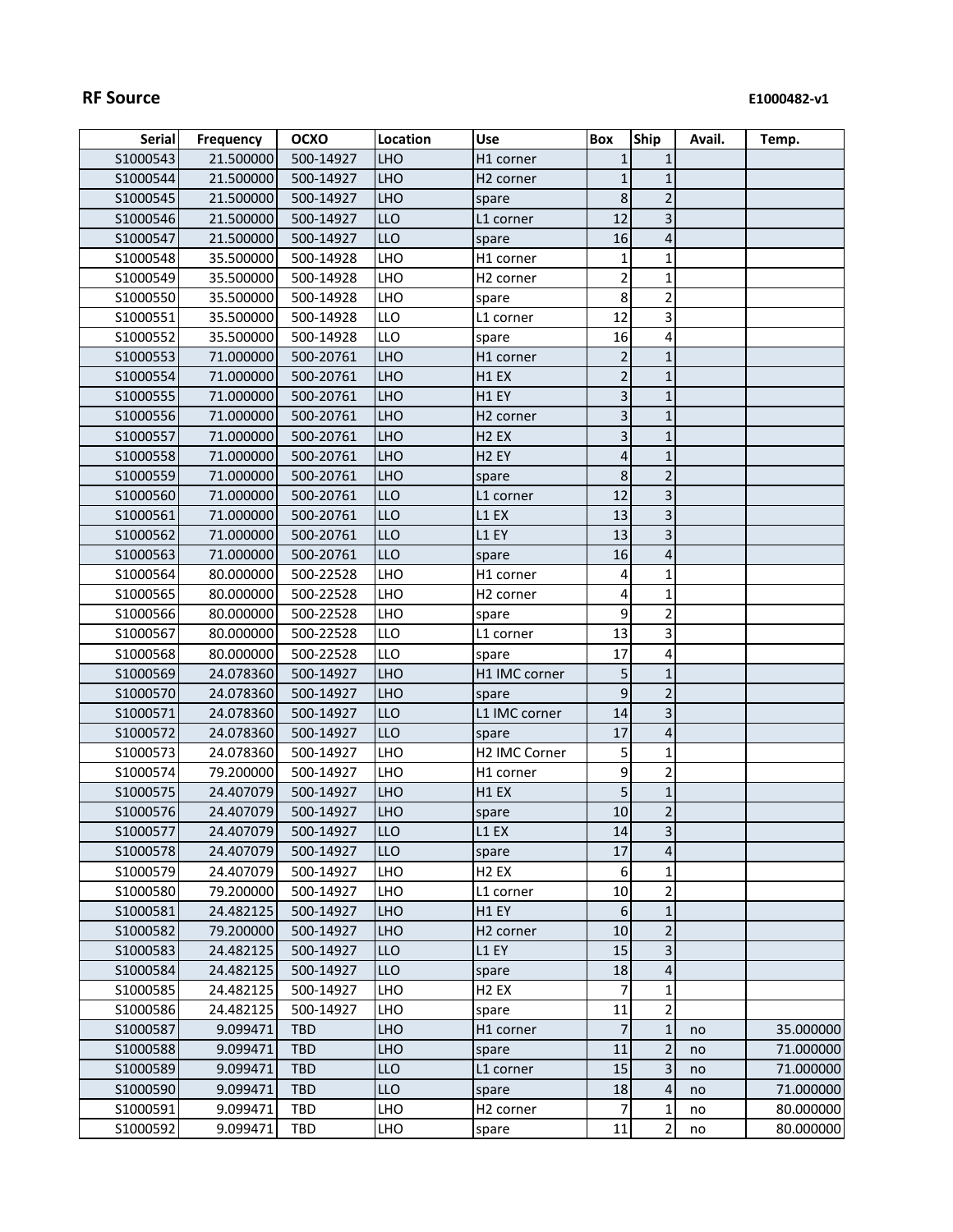| S1000543<br>500-14927<br>21.500000<br><b>LHO</b><br>H1 corner<br>$\mathbf{1}$<br>1<br><b>LHO</b><br>S1000544<br>21.500000<br>500-14927<br>$\mathbf{1}$<br>$\mathbf{1}$<br>H <sub>2</sub> corner<br>$\overline{2}$<br>8<br>S1000545<br>21.500000<br>500-14927<br><b>LHO</b><br>spare<br>3<br>LLO<br>12<br>S1000546<br>21.500000<br>500-14927<br>L1 corner<br><b>LLO</b><br>16<br>4<br>S1000547<br>21.500000<br>500-14927<br>spare<br>LHO<br>35.500000<br>1<br>S1000548<br>500-14928<br>1<br>H1 corner<br>$\overline{2}$<br>$\mathbf 1$<br>35.500000<br>LHO<br>S1000549<br>500-14928<br>H <sub>2</sub> corner<br>$\overline{c}$<br>8<br>S1000550<br>35.500000<br>500-14928<br>LHO<br>spare<br>12<br>3<br>S1000551<br>35.500000<br>500-14928<br>LLO<br>L1 corner<br>LLO<br>S1000552<br>35.500000<br>500-14928<br>16<br>4<br>spare<br>$\overline{2}$<br>S1000553<br>71.000000<br>500-20761<br><b>LHO</b><br>$\mathbf{1}$<br>H1 corner<br>$\overline{2}$<br><b>LHO</b><br>$\mathbf{1}$<br>S1000554<br>71.000000<br>500-20761<br>H1 EX<br>3<br><b>LHO</b><br>S1000555<br>71.000000<br>500-20761<br>H1 EY<br>1<br><b>LHO</b><br>3<br>S1000556<br>71.000000<br>500-20761<br>$\mathbf{1}$<br>H <sub>2</sub> corner<br>3<br>$\mathbf 1$<br>S1000557<br>71.000000<br>500-20761<br><b>LHO</b><br>H <sub>2</sub> EX<br>$\mathbf 1$<br><b>LHO</b><br>4<br>S1000558<br>71.000000<br>500-20761<br>H <sub>2</sub> EY<br>$\overline{2}$<br>S1000559<br>71.000000<br>500-20761<br><b>LHO</b><br>8<br>spare<br>$\overline{\mathbf{3}}$<br><b>LLO</b><br>12<br>\$1000560<br>71.000000<br>500-20761<br>L1 corner<br>3<br><b>LLO</b><br>S1000561<br>71.000000<br>500-20761<br>L1 EX<br>13<br>3<br><b>LLO</b><br>13<br>S1000562<br>71.000000<br>500-20761<br>L1 EY<br>LLO<br>71.000000<br>16<br>4<br>S1000563<br>500-20761<br>spare<br>LHO<br>$\mathbf 1$<br>S1000564<br>80.000000<br>500-22528<br>H1 corner<br>4<br>$\mathbf 1$<br>S1000565<br>80.000000<br>500-22528<br>LHO<br>4<br>H <sub>2</sub> corner<br>$\overline{\mathbf{c}}$<br>9<br>80.000000<br>S1000566<br>500-22528<br>LHO<br>spare<br>3<br>13<br>S1000567<br>80.000000<br>500-22528<br>LLO<br>L1 corner<br>LLO<br>17<br>4<br>\$1000568<br>80.000000<br>500-22528<br>spare<br><b>LHO</b><br>5<br>\$1000569<br>24.078360<br>$\mathbf{1}$<br>500-14927<br>H1 IMC corner<br>9<br>$\overline{2}$<br>24.078360<br>500-14927<br><b>LHO</b><br>S1000570<br>spare<br>LLO<br>3<br>S1000571<br>24.078360<br>500-14927<br>14<br>L1 IMC corner<br><b>LLO</b><br>$\sqrt{4}$<br>S1000572<br>24.078360<br>500-14927<br>17<br>spare<br>LHO<br>H2 IMC Corner<br>5<br>S1000573<br>24.078360<br>1<br>500-14927<br>$\mathbf 2$<br>9<br>79.200000<br>LHO<br>S1000574<br>500-14927<br>H1 corner<br>5<br>$\mathbf 1$<br>S1000575<br>24.407079<br>500-14927<br><b>LHO</b><br>H1 EX<br>$\overline{c}$<br>10<br>S1000576<br>24.407079<br>500-14927<br><b>LHO</b><br>spare<br>S1000577<br>24.407079<br>500-14927<br><b>LLO</b><br>L1 EX<br>14<br>$\mathbf{3}$<br>17<br>24.407079<br>4<br>S1000578<br>500-14927<br><b>LLO</b><br>spare<br>6<br>24.407079<br>500-14927<br>LHO<br>H <sub>2</sub> EX<br>$\mathbf 1$<br>S1000579<br>10<br>$\overline{\mathbf{c}}$<br>S1000580<br>79.200000<br>500-14927<br>LHO<br>L1 corner<br>6<br>S1000581<br><b>LHO</b><br>$\mathbf 1$<br>24.482125<br>500-14927<br>H1 EY<br>$\mathbf 2$<br>10<br>S1000582<br>79.200000<br>500-14927<br><b>LHO</b><br>H <sub>2</sub> corner<br>3<br>\$1000583<br>24.482125<br>15<br>500-14927<br>LLO<br>L1 EY<br>24.482125<br>18<br>4<br>S1000584<br>500-14927<br><b>LLO</b><br>spare<br>7<br>\$1000585<br>24.482125<br><b>LHO</b><br>500-14927<br>H <sub>2</sub> EX<br>1<br>$\mathbf 2$<br>24.482125<br>500-14927<br>11<br>S1000586<br><b>LHO</b><br>spare<br>$\overline{7}$<br>9.099471<br><b>LHO</b><br>$\mathbf{1}$<br>35.000000<br>S1000587<br><b>TBD</b><br>H1 corner<br>no<br>$\overline{2}$<br>\$1000588<br><b>LHO</b><br>11<br>9.099471<br><b>TBD</b><br>71.000000<br>spare<br>no<br>3<br>15<br>LLO<br>S1000589<br>9.099471<br><b>TBD</b><br>71.000000<br>L1 corner<br>no<br>S1000590<br>LLO<br>18<br>4<br>9.099471<br><b>TBD</b><br>71.000000<br>spare<br>no<br>S1000591<br>9.099471<br>TBD<br>LHO<br>H <sub>2</sub> corner<br>7<br>1<br>80.000000<br>no<br>11 | <b>Serial</b> | <b>Frequency</b> | <b>OCXO</b> | Location | <b>Use</b> | <b>Box</b> | <b>Ship</b>    | Avail. | Temp.     |
|---------------------------------------------------------------------------------------------------------------------------------------------------------------------------------------------------------------------------------------------------------------------------------------------------------------------------------------------------------------------------------------------------------------------------------------------------------------------------------------------------------------------------------------------------------------------------------------------------------------------------------------------------------------------------------------------------------------------------------------------------------------------------------------------------------------------------------------------------------------------------------------------------------------------------------------------------------------------------------------------------------------------------------------------------------------------------------------------------------------------------------------------------------------------------------------------------------------------------------------------------------------------------------------------------------------------------------------------------------------------------------------------------------------------------------------------------------------------------------------------------------------------------------------------------------------------------------------------------------------------------------------------------------------------------------------------------------------------------------------------------------------------------------------------------------------------------------------------------------------------------------------------------------------------------------------------------------------------------------------------------------------------------------------------------------------------------------------------------------------------------------------------------------------------------------------------------------------------------------------------------------------------------------------------------------------------------------------------------------------------------------------------------------------------------------------------------------------------------------------------------------------------------------------------------------------------------------------------------------------------------------------------------------------------------------------------------------------------------------------------------------------------------------------------------------------------------------------------------------------------------------------------------------------------------------------------------------------------------------------------------------------------------------------------------------------------------------------------------------------------------------------------------------------------------------------------------------------------------------------------------------------------------------------------------------------------------------------------------------------------------------------------------------------------------------------------------------------------------------------------------------------------------------------------------------------------------------------------------------------------------------------------------------------------------------------------------------------------------------------------------------------------------------------------------------------------------------------------------------------------------------------------------------------------------------------------------------------------------------------------------------------------------------------------------------------------------------------------------------------------------------------------------------------------------------------------------------------------------------------------------|---------------|------------------|-------------|----------|------------|------------|----------------|--------|-----------|
|                                                                                                                                                                                                                                                                                                                                                                                                                                                                                                                                                                                                                                                                                                                                                                                                                                                                                                                                                                                                                                                                                                                                                                                                                                                                                                                                                                                                                                                                                                                                                                                                                                                                                                                                                                                                                                                                                                                                                                                                                                                                                                                                                                                                                                                                                                                                                                                                                                                                                                                                                                                                                                                                                                                                                                                                                                                                                                                                                                                                                                                                                                                                                                                                                                                                                                                                                                                                                                                                                                                                                                                                                                                                                                                                                                                                                                                                                                                                                                                                                                                                                                                                                                                                                                                   |               |                  |             |          |            |            |                |        |           |
|                                                                                                                                                                                                                                                                                                                                                                                                                                                                                                                                                                                                                                                                                                                                                                                                                                                                                                                                                                                                                                                                                                                                                                                                                                                                                                                                                                                                                                                                                                                                                                                                                                                                                                                                                                                                                                                                                                                                                                                                                                                                                                                                                                                                                                                                                                                                                                                                                                                                                                                                                                                                                                                                                                                                                                                                                                                                                                                                                                                                                                                                                                                                                                                                                                                                                                                                                                                                                                                                                                                                                                                                                                                                                                                                                                                                                                                                                                                                                                                                                                                                                                                                                                                                                                                   |               |                  |             |          |            |            |                |        |           |
|                                                                                                                                                                                                                                                                                                                                                                                                                                                                                                                                                                                                                                                                                                                                                                                                                                                                                                                                                                                                                                                                                                                                                                                                                                                                                                                                                                                                                                                                                                                                                                                                                                                                                                                                                                                                                                                                                                                                                                                                                                                                                                                                                                                                                                                                                                                                                                                                                                                                                                                                                                                                                                                                                                                                                                                                                                                                                                                                                                                                                                                                                                                                                                                                                                                                                                                                                                                                                                                                                                                                                                                                                                                                                                                                                                                                                                                                                                                                                                                                                                                                                                                                                                                                                                                   |               |                  |             |          |            |            |                |        |           |
|                                                                                                                                                                                                                                                                                                                                                                                                                                                                                                                                                                                                                                                                                                                                                                                                                                                                                                                                                                                                                                                                                                                                                                                                                                                                                                                                                                                                                                                                                                                                                                                                                                                                                                                                                                                                                                                                                                                                                                                                                                                                                                                                                                                                                                                                                                                                                                                                                                                                                                                                                                                                                                                                                                                                                                                                                                                                                                                                                                                                                                                                                                                                                                                                                                                                                                                                                                                                                                                                                                                                                                                                                                                                                                                                                                                                                                                                                                                                                                                                                                                                                                                                                                                                                                                   |               |                  |             |          |            |            |                |        |           |
|                                                                                                                                                                                                                                                                                                                                                                                                                                                                                                                                                                                                                                                                                                                                                                                                                                                                                                                                                                                                                                                                                                                                                                                                                                                                                                                                                                                                                                                                                                                                                                                                                                                                                                                                                                                                                                                                                                                                                                                                                                                                                                                                                                                                                                                                                                                                                                                                                                                                                                                                                                                                                                                                                                                                                                                                                                                                                                                                                                                                                                                                                                                                                                                                                                                                                                                                                                                                                                                                                                                                                                                                                                                                                                                                                                                                                                                                                                                                                                                                                                                                                                                                                                                                                                                   |               |                  |             |          |            |            |                |        |           |
|                                                                                                                                                                                                                                                                                                                                                                                                                                                                                                                                                                                                                                                                                                                                                                                                                                                                                                                                                                                                                                                                                                                                                                                                                                                                                                                                                                                                                                                                                                                                                                                                                                                                                                                                                                                                                                                                                                                                                                                                                                                                                                                                                                                                                                                                                                                                                                                                                                                                                                                                                                                                                                                                                                                                                                                                                                                                                                                                                                                                                                                                                                                                                                                                                                                                                                                                                                                                                                                                                                                                                                                                                                                                                                                                                                                                                                                                                                                                                                                                                                                                                                                                                                                                                                                   |               |                  |             |          |            |            |                |        |           |
|                                                                                                                                                                                                                                                                                                                                                                                                                                                                                                                                                                                                                                                                                                                                                                                                                                                                                                                                                                                                                                                                                                                                                                                                                                                                                                                                                                                                                                                                                                                                                                                                                                                                                                                                                                                                                                                                                                                                                                                                                                                                                                                                                                                                                                                                                                                                                                                                                                                                                                                                                                                                                                                                                                                                                                                                                                                                                                                                                                                                                                                                                                                                                                                                                                                                                                                                                                                                                                                                                                                                                                                                                                                                                                                                                                                                                                                                                                                                                                                                                                                                                                                                                                                                                                                   |               |                  |             |          |            |            |                |        |           |
|                                                                                                                                                                                                                                                                                                                                                                                                                                                                                                                                                                                                                                                                                                                                                                                                                                                                                                                                                                                                                                                                                                                                                                                                                                                                                                                                                                                                                                                                                                                                                                                                                                                                                                                                                                                                                                                                                                                                                                                                                                                                                                                                                                                                                                                                                                                                                                                                                                                                                                                                                                                                                                                                                                                                                                                                                                                                                                                                                                                                                                                                                                                                                                                                                                                                                                                                                                                                                                                                                                                                                                                                                                                                                                                                                                                                                                                                                                                                                                                                                                                                                                                                                                                                                                                   |               |                  |             |          |            |            |                |        |           |
|                                                                                                                                                                                                                                                                                                                                                                                                                                                                                                                                                                                                                                                                                                                                                                                                                                                                                                                                                                                                                                                                                                                                                                                                                                                                                                                                                                                                                                                                                                                                                                                                                                                                                                                                                                                                                                                                                                                                                                                                                                                                                                                                                                                                                                                                                                                                                                                                                                                                                                                                                                                                                                                                                                                                                                                                                                                                                                                                                                                                                                                                                                                                                                                                                                                                                                                                                                                                                                                                                                                                                                                                                                                                                                                                                                                                                                                                                                                                                                                                                                                                                                                                                                                                                                                   |               |                  |             |          |            |            |                |        |           |
|                                                                                                                                                                                                                                                                                                                                                                                                                                                                                                                                                                                                                                                                                                                                                                                                                                                                                                                                                                                                                                                                                                                                                                                                                                                                                                                                                                                                                                                                                                                                                                                                                                                                                                                                                                                                                                                                                                                                                                                                                                                                                                                                                                                                                                                                                                                                                                                                                                                                                                                                                                                                                                                                                                                                                                                                                                                                                                                                                                                                                                                                                                                                                                                                                                                                                                                                                                                                                                                                                                                                                                                                                                                                                                                                                                                                                                                                                                                                                                                                                                                                                                                                                                                                                                                   |               |                  |             |          |            |            |                |        |           |
|                                                                                                                                                                                                                                                                                                                                                                                                                                                                                                                                                                                                                                                                                                                                                                                                                                                                                                                                                                                                                                                                                                                                                                                                                                                                                                                                                                                                                                                                                                                                                                                                                                                                                                                                                                                                                                                                                                                                                                                                                                                                                                                                                                                                                                                                                                                                                                                                                                                                                                                                                                                                                                                                                                                                                                                                                                                                                                                                                                                                                                                                                                                                                                                                                                                                                                                                                                                                                                                                                                                                                                                                                                                                                                                                                                                                                                                                                                                                                                                                                                                                                                                                                                                                                                                   |               |                  |             |          |            |            |                |        |           |
|                                                                                                                                                                                                                                                                                                                                                                                                                                                                                                                                                                                                                                                                                                                                                                                                                                                                                                                                                                                                                                                                                                                                                                                                                                                                                                                                                                                                                                                                                                                                                                                                                                                                                                                                                                                                                                                                                                                                                                                                                                                                                                                                                                                                                                                                                                                                                                                                                                                                                                                                                                                                                                                                                                                                                                                                                                                                                                                                                                                                                                                                                                                                                                                                                                                                                                                                                                                                                                                                                                                                                                                                                                                                                                                                                                                                                                                                                                                                                                                                                                                                                                                                                                                                                                                   |               |                  |             |          |            |            |                |        |           |
|                                                                                                                                                                                                                                                                                                                                                                                                                                                                                                                                                                                                                                                                                                                                                                                                                                                                                                                                                                                                                                                                                                                                                                                                                                                                                                                                                                                                                                                                                                                                                                                                                                                                                                                                                                                                                                                                                                                                                                                                                                                                                                                                                                                                                                                                                                                                                                                                                                                                                                                                                                                                                                                                                                                                                                                                                                                                                                                                                                                                                                                                                                                                                                                                                                                                                                                                                                                                                                                                                                                                                                                                                                                                                                                                                                                                                                                                                                                                                                                                                                                                                                                                                                                                                                                   |               |                  |             |          |            |            |                |        |           |
|                                                                                                                                                                                                                                                                                                                                                                                                                                                                                                                                                                                                                                                                                                                                                                                                                                                                                                                                                                                                                                                                                                                                                                                                                                                                                                                                                                                                                                                                                                                                                                                                                                                                                                                                                                                                                                                                                                                                                                                                                                                                                                                                                                                                                                                                                                                                                                                                                                                                                                                                                                                                                                                                                                                                                                                                                                                                                                                                                                                                                                                                                                                                                                                                                                                                                                                                                                                                                                                                                                                                                                                                                                                                                                                                                                                                                                                                                                                                                                                                                                                                                                                                                                                                                                                   |               |                  |             |          |            |            |                |        |           |
|                                                                                                                                                                                                                                                                                                                                                                                                                                                                                                                                                                                                                                                                                                                                                                                                                                                                                                                                                                                                                                                                                                                                                                                                                                                                                                                                                                                                                                                                                                                                                                                                                                                                                                                                                                                                                                                                                                                                                                                                                                                                                                                                                                                                                                                                                                                                                                                                                                                                                                                                                                                                                                                                                                                                                                                                                                                                                                                                                                                                                                                                                                                                                                                                                                                                                                                                                                                                                                                                                                                                                                                                                                                                                                                                                                                                                                                                                                                                                                                                                                                                                                                                                                                                                                                   |               |                  |             |          |            |            |                |        |           |
|                                                                                                                                                                                                                                                                                                                                                                                                                                                                                                                                                                                                                                                                                                                                                                                                                                                                                                                                                                                                                                                                                                                                                                                                                                                                                                                                                                                                                                                                                                                                                                                                                                                                                                                                                                                                                                                                                                                                                                                                                                                                                                                                                                                                                                                                                                                                                                                                                                                                                                                                                                                                                                                                                                                                                                                                                                                                                                                                                                                                                                                                                                                                                                                                                                                                                                                                                                                                                                                                                                                                                                                                                                                                                                                                                                                                                                                                                                                                                                                                                                                                                                                                                                                                                                                   |               |                  |             |          |            |            |                |        |           |
|                                                                                                                                                                                                                                                                                                                                                                                                                                                                                                                                                                                                                                                                                                                                                                                                                                                                                                                                                                                                                                                                                                                                                                                                                                                                                                                                                                                                                                                                                                                                                                                                                                                                                                                                                                                                                                                                                                                                                                                                                                                                                                                                                                                                                                                                                                                                                                                                                                                                                                                                                                                                                                                                                                                                                                                                                                                                                                                                                                                                                                                                                                                                                                                                                                                                                                                                                                                                                                                                                                                                                                                                                                                                                                                                                                                                                                                                                                                                                                                                                                                                                                                                                                                                                                                   |               |                  |             |          |            |            |                |        |           |
|                                                                                                                                                                                                                                                                                                                                                                                                                                                                                                                                                                                                                                                                                                                                                                                                                                                                                                                                                                                                                                                                                                                                                                                                                                                                                                                                                                                                                                                                                                                                                                                                                                                                                                                                                                                                                                                                                                                                                                                                                                                                                                                                                                                                                                                                                                                                                                                                                                                                                                                                                                                                                                                                                                                                                                                                                                                                                                                                                                                                                                                                                                                                                                                                                                                                                                                                                                                                                                                                                                                                                                                                                                                                                                                                                                                                                                                                                                                                                                                                                                                                                                                                                                                                                                                   |               |                  |             |          |            |            |                |        |           |
|                                                                                                                                                                                                                                                                                                                                                                                                                                                                                                                                                                                                                                                                                                                                                                                                                                                                                                                                                                                                                                                                                                                                                                                                                                                                                                                                                                                                                                                                                                                                                                                                                                                                                                                                                                                                                                                                                                                                                                                                                                                                                                                                                                                                                                                                                                                                                                                                                                                                                                                                                                                                                                                                                                                                                                                                                                                                                                                                                                                                                                                                                                                                                                                                                                                                                                                                                                                                                                                                                                                                                                                                                                                                                                                                                                                                                                                                                                                                                                                                                                                                                                                                                                                                                                                   |               |                  |             |          |            |            |                |        |           |
|                                                                                                                                                                                                                                                                                                                                                                                                                                                                                                                                                                                                                                                                                                                                                                                                                                                                                                                                                                                                                                                                                                                                                                                                                                                                                                                                                                                                                                                                                                                                                                                                                                                                                                                                                                                                                                                                                                                                                                                                                                                                                                                                                                                                                                                                                                                                                                                                                                                                                                                                                                                                                                                                                                                                                                                                                                                                                                                                                                                                                                                                                                                                                                                                                                                                                                                                                                                                                                                                                                                                                                                                                                                                                                                                                                                                                                                                                                                                                                                                                                                                                                                                                                                                                                                   |               |                  |             |          |            |            |                |        |           |
|                                                                                                                                                                                                                                                                                                                                                                                                                                                                                                                                                                                                                                                                                                                                                                                                                                                                                                                                                                                                                                                                                                                                                                                                                                                                                                                                                                                                                                                                                                                                                                                                                                                                                                                                                                                                                                                                                                                                                                                                                                                                                                                                                                                                                                                                                                                                                                                                                                                                                                                                                                                                                                                                                                                                                                                                                                                                                                                                                                                                                                                                                                                                                                                                                                                                                                                                                                                                                                                                                                                                                                                                                                                                                                                                                                                                                                                                                                                                                                                                                                                                                                                                                                                                                                                   |               |                  |             |          |            |            |                |        |           |
|                                                                                                                                                                                                                                                                                                                                                                                                                                                                                                                                                                                                                                                                                                                                                                                                                                                                                                                                                                                                                                                                                                                                                                                                                                                                                                                                                                                                                                                                                                                                                                                                                                                                                                                                                                                                                                                                                                                                                                                                                                                                                                                                                                                                                                                                                                                                                                                                                                                                                                                                                                                                                                                                                                                                                                                                                                                                                                                                                                                                                                                                                                                                                                                                                                                                                                                                                                                                                                                                                                                                                                                                                                                                                                                                                                                                                                                                                                                                                                                                                                                                                                                                                                                                                                                   |               |                  |             |          |            |            |                |        |           |
|                                                                                                                                                                                                                                                                                                                                                                                                                                                                                                                                                                                                                                                                                                                                                                                                                                                                                                                                                                                                                                                                                                                                                                                                                                                                                                                                                                                                                                                                                                                                                                                                                                                                                                                                                                                                                                                                                                                                                                                                                                                                                                                                                                                                                                                                                                                                                                                                                                                                                                                                                                                                                                                                                                                                                                                                                                                                                                                                                                                                                                                                                                                                                                                                                                                                                                                                                                                                                                                                                                                                                                                                                                                                                                                                                                                                                                                                                                                                                                                                                                                                                                                                                                                                                                                   |               |                  |             |          |            |            |                |        |           |
|                                                                                                                                                                                                                                                                                                                                                                                                                                                                                                                                                                                                                                                                                                                                                                                                                                                                                                                                                                                                                                                                                                                                                                                                                                                                                                                                                                                                                                                                                                                                                                                                                                                                                                                                                                                                                                                                                                                                                                                                                                                                                                                                                                                                                                                                                                                                                                                                                                                                                                                                                                                                                                                                                                                                                                                                                                                                                                                                                                                                                                                                                                                                                                                                                                                                                                                                                                                                                                                                                                                                                                                                                                                                                                                                                                                                                                                                                                                                                                                                                                                                                                                                                                                                                                                   |               |                  |             |          |            |            |                |        |           |
|                                                                                                                                                                                                                                                                                                                                                                                                                                                                                                                                                                                                                                                                                                                                                                                                                                                                                                                                                                                                                                                                                                                                                                                                                                                                                                                                                                                                                                                                                                                                                                                                                                                                                                                                                                                                                                                                                                                                                                                                                                                                                                                                                                                                                                                                                                                                                                                                                                                                                                                                                                                                                                                                                                                                                                                                                                                                                                                                                                                                                                                                                                                                                                                                                                                                                                                                                                                                                                                                                                                                                                                                                                                                                                                                                                                                                                                                                                                                                                                                                                                                                                                                                                                                                                                   |               |                  |             |          |            |            |                |        |           |
|                                                                                                                                                                                                                                                                                                                                                                                                                                                                                                                                                                                                                                                                                                                                                                                                                                                                                                                                                                                                                                                                                                                                                                                                                                                                                                                                                                                                                                                                                                                                                                                                                                                                                                                                                                                                                                                                                                                                                                                                                                                                                                                                                                                                                                                                                                                                                                                                                                                                                                                                                                                                                                                                                                                                                                                                                                                                                                                                                                                                                                                                                                                                                                                                                                                                                                                                                                                                                                                                                                                                                                                                                                                                                                                                                                                                                                                                                                                                                                                                                                                                                                                                                                                                                                                   |               |                  |             |          |            |            |                |        |           |
|                                                                                                                                                                                                                                                                                                                                                                                                                                                                                                                                                                                                                                                                                                                                                                                                                                                                                                                                                                                                                                                                                                                                                                                                                                                                                                                                                                                                                                                                                                                                                                                                                                                                                                                                                                                                                                                                                                                                                                                                                                                                                                                                                                                                                                                                                                                                                                                                                                                                                                                                                                                                                                                                                                                                                                                                                                                                                                                                                                                                                                                                                                                                                                                                                                                                                                                                                                                                                                                                                                                                                                                                                                                                                                                                                                                                                                                                                                                                                                                                                                                                                                                                                                                                                                                   |               |                  |             |          |            |            |                |        |           |
|                                                                                                                                                                                                                                                                                                                                                                                                                                                                                                                                                                                                                                                                                                                                                                                                                                                                                                                                                                                                                                                                                                                                                                                                                                                                                                                                                                                                                                                                                                                                                                                                                                                                                                                                                                                                                                                                                                                                                                                                                                                                                                                                                                                                                                                                                                                                                                                                                                                                                                                                                                                                                                                                                                                                                                                                                                                                                                                                                                                                                                                                                                                                                                                                                                                                                                                                                                                                                                                                                                                                                                                                                                                                                                                                                                                                                                                                                                                                                                                                                                                                                                                                                                                                                                                   |               |                  |             |          |            |            |                |        |           |
|                                                                                                                                                                                                                                                                                                                                                                                                                                                                                                                                                                                                                                                                                                                                                                                                                                                                                                                                                                                                                                                                                                                                                                                                                                                                                                                                                                                                                                                                                                                                                                                                                                                                                                                                                                                                                                                                                                                                                                                                                                                                                                                                                                                                                                                                                                                                                                                                                                                                                                                                                                                                                                                                                                                                                                                                                                                                                                                                                                                                                                                                                                                                                                                                                                                                                                                                                                                                                                                                                                                                                                                                                                                                                                                                                                                                                                                                                                                                                                                                                                                                                                                                                                                                                                                   |               |                  |             |          |            |            |                |        |           |
|                                                                                                                                                                                                                                                                                                                                                                                                                                                                                                                                                                                                                                                                                                                                                                                                                                                                                                                                                                                                                                                                                                                                                                                                                                                                                                                                                                                                                                                                                                                                                                                                                                                                                                                                                                                                                                                                                                                                                                                                                                                                                                                                                                                                                                                                                                                                                                                                                                                                                                                                                                                                                                                                                                                                                                                                                                                                                                                                                                                                                                                                                                                                                                                                                                                                                                                                                                                                                                                                                                                                                                                                                                                                                                                                                                                                                                                                                                                                                                                                                                                                                                                                                                                                                                                   |               |                  |             |          |            |            |                |        |           |
|                                                                                                                                                                                                                                                                                                                                                                                                                                                                                                                                                                                                                                                                                                                                                                                                                                                                                                                                                                                                                                                                                                                                                                                                                                                                                                                                                                                                                                                                                                                                                                                                                                                                                                                                                                                                                                                                                                                                                                                                                                                                                                                                                                                                                                                                                                                                                                                                                                                                                                                                                                                                                                                                                                                                                                                                                                                                                                                                                                                                                                                                                                                                                                                                                                                                                                                                                                                                                                                                                                                                                                                                                                                                                                                                                                                                                                                                                                                                                                                                                                                                                                                                                                                                                                                   |               |                  |             |          |            |            |                |        |           |
|                                                                                                                                                                                                                                                                                                                                                                                                                                                                                                                                                                                                                                                                                                                                                                                                                                                                                                                                                                                                                                                                                                                                                                                                                                                                                                                                                                                                                                                                                                                                                                                                                                                                                                                                                                                                                                                                                                                                                                                                                                                                                                                                                                                                                                                                                                                                                                                                                                                                                                                                                                                                                                                                                                                                                                                                                                                                                                                                                                                                                                                                                                                                                                                                                                                                                                                                                                                                                                                                                                                                                                                                                                                                                                                                                                                                                                                                                                                                                                                                                                                                                                                                                                                                                                                   |               |                  |             |          |            |            |                |        |           |
|                                                                                                                                                                                                                                                                                                                                                                                                                                                                                                                                                                                                                                                                                                                                                                                                                                                                                                                                                                                                                                                                                                                                                                                                                                                                                                                                                                                                                                                                                                                                                                                                                                                                                                                                                                                                                                                                                                                                                                                                                                                                                                                                                                                                                                                                                                                                                                                                                                                                                                                                                                                                                                                                                                                                                                                                                                                                                                                                                                                                                                                                                                                                                                                                                                                                                                                                                                                                                                                                                                                                                                                                                                                                                                                                                                                                                                                                                                                                                                                                                                                                                                                                                                                                                                                   |               |                  |             |          |            |            |                |        |           |
|                                                                                                                                                                                                                                                                                                                                                                                                                                                                                                                                                                                                                                                                                                                                                                                                                                                                                                                                                                                                                                                                                                                                                                                                                                                                                                                                                                                                                                                                                                                                                                                                                                                                                                                                                                                                                                                                                                                                                                                                                                                                                                                                                                                                                                                                                                                                                                                                                                                                                                                                                                                                                                                                                                                                                                                                                                                                                                                                                                                                                                                                                                                                                                                                                                                                                                                                                                                                                                                                                                                                                                                                                                                                                                                                                                                                                                                                                                                                                                                                                                                                                                                                                                                                                                                   |               |                  |             |          |            |            |                |        |           |
|                                                                                                                                                                                                                                                                                                                                                                                                                                                                                                                                                                                                                                                                                                                                                                                                                                                                                                                                                                                                                                                                                                                                                                                                                                                                                                                                                                                                                                                                                                                                                                                                                                                                                                                                                                                                                                                                                                                                                                                                                                                                                                                                                                                                                                                                                                                                                                                                                                                                                                                                                                                                                                                                                                                                                                                                                                                                                                                                                                                                                                                                                                                                                                                                                                                                                                                                                                                                                                                                                                                                                                                                                                                                                                                                                                                                                                                                                                                                                                                                                                                                                                                                                                                                                                                   |               |                  |             |          |            |            |                |        |           |
|                                                                                                                                                                                                                                                                                                                                                                                                                                                                                                                                                                                                                                                                                                                                                                                                                                                                                                                                                                                                                                                                                                                                                                                                                                                                                                                                                                                                                                                                                                                                                                                                                                                                                                                                                                                                                                                                                                                                                                                                                                                                                                                                                                                                                                                                                                                                                                                                                                                                                                                                                                                                                                                                                                                                                                                                                                                                                                                                                                                                                                                                                                                                                                                                                                                                                                                                                                                                                                                                                                                                                                                                                                                                                                                                                                                                                                                                                                                                                                                                                                                                                                                                                                                                                                                   |               |                  |             |          |            |            |                |        |           |
|                                                                                                                                                                                                                                                                                                                                                                                                                                                                                                                                                                                                                                                                                                                                                                                                                                                                                                                                                                                                                                                                                                                                                                                                                                                                                                                                                                                                                                                                                                                                                                                                                                                                                                                                                                                                                                                                                                                                                                                                                                                                                                                                                                                                                                                                                                                                                                                                                                                                                                                                                                                                                                                                                                                                                                                                                                                                                                                                                                                                                                                                                                                                                                                                                                                                                                                                                                                                                                                                                                                                                                                                                                                                                                                                                                                                                                                                                                                                                                                                                                                                                                                                                                                                                                                   |               |                  |             |          |            |            |                |        |           |
|                                                                                                                                                                                                                                                                                                                                                                                                                                                                                                                                                                                                                                                                                                                                                                                                                                                                                                                                                                                                                                                                                                                                                                                                                                                                                                                                                                                                                                                                                                                                                                                                                                                                                                                                                                                                                                                                                                                                                                                                                                                                                                                                                                                                                                                                                                                                                                                                                                                                                                                                                                                                                                                                                                                                                                                                                                                                                                                                                                                                                                                                                                                                                                                                                                                                                                                                                                                                                                                                                                                                                                                                                                                                                                                                                                                                                                                                                                                                                                                                                                                                                                                                                                                                                                                   |               |                  |             |          |            |            |                |        |           |
|                                                                                                                                                                                                                                                                                                                                                                                                                                                                                                                                                                                                                                                                                                                                                                                                                                                                                                                                                                                                                                                                                                                                                                                                                                                                                                                                                                                                                                                                                                                                                                                                                                                                                                                                                                                                                                                                                                                                                                                                                                                                                                                                                                                                                                                                                                                                                                                                                                                                                                                                                                                                                                                                                                                                                                                                                                                                                                                                                                                                                                                                                                                                                                                                                                                                                                                                                                                                                                                                                                                                                                                                                                                                                                                                                                                                                                                                                                                                                                                                                                                                                                                                                                                                                                                   |               |                  |             |          |            |            |                |        |           |
|                                                                                                                                                                                                                                                                                                                                                                                                                                                                                                                                                                                                                                                                                                                                                                                                                                                                                                                                                                                                                                                                                                                                                                                                                                                                                                                                                                                                                                                                                                                                                                                                                                                                                                                                                                                                                                                                                                                                                                                                                                                                                                                                                                                                                                                                                                                                                                                                                                                                                                                                                                                                                                                                                                                                                                                                                                                                                                                                                                                                                                                                                                                                                                                                                                                                                                                                                                                                                                                                                                                                                                                                                                                                                                                                                                                                                                                                                                                                                                                                                                                                                                                                                                                                                                                   |               |                  |             |          |            |            |                |        |           |
|                                                                                                                                                                                                                                                                                                                                                                                                                                                                                                                                                                                                                                                                                                                                                                                                                                                                                                                                                                                                                                                                                                                                                                                                                                                                                                                                                                                                                                                                                                                                                                                                                                                                                                                                                                                                                                                                                                                                                                                                                                                                                                                                                                                                                                                                                                                                                                                                                                                                                                                                                                                                                                                                                                                                                                                                                                                                                                                                                                                                                                                                                                                                                                                                                                                                                                                                                                                                                                                                                                                                                                                                                                                                                                                                                                                                                                                                                                                                                                                                                                                                                                                                                                                                                                                   |               |                  |             |          |            |            |                |        |           |
|                                                                                                                                                                                                                                                                                                                                                                                                                                                                                                                                                                                                                                                                                                                                                                                                                                                                                                                                                                                                                                                                                                                                                                                                                                                                                                                                                                                                                                                                                                                                                                                                                                                                                                                                                                                                                                                                                                                                                                                                                                                                                                                                                                                                                                                                                                                                                                                                                                                                                                                                                                                                                                                                                                                                                                                                                                                                                                                                                                                                                                                                                                                                                                                                                                                                                                                                                                                                                                                                                                                                                                                                                                                                                                                                                                                                                                                                                                                                                                                                                                                                                                                                                                                                                                                   |               |                  |             |          |            |            |                |        |           |
|                                                                                                                                                                                                                                                                                                                                                                                                                                                                                                                                                                                                                                                                                                                                                                                                                                                                                                                                                                                                                                                                                                                                                                                                                                                                                                                                                                                                                                                                                                                                                                                                                                                                                                                                                                                                                                                                                                                                                                                                                                                                                                                                                                                                                                                                                                                                                                                                                                                                                                                                                                                                                                                                                                                                                                                                                                                                                                                                                                                                                                                                                                                                                                                                                                                                                                                                                                                                                                                                                                                                                                                                                                                                                                                                                                                                                                                                                                                                                                                                                                                                                                                                                                                                                                                   |               |                  |             |          |            |            |                |        |           |
|                                                                                                                                                                                                                                                                                                                                                                                                                                                                                                                                                                                                                                                                                                                                                                                                                                                                                                                                                                                                                                                                                                                                                                                                                                                                                                                                                                                                                                                                                                                                                                                                                                                                                                                                                                                                                                                                                                                                                                                                                                                                                                                                                                                                                                                                                                                                                                                                                                                                                                                                                                                                                                                                                                                                                                                                                                                                                                                                                                                                                                                                                                                                                                                                                                                                                                                                                                                                                                                                                                                                                                                                                                                                                                                                                                                                                                                                                                                                                                                                                                                                                                                                                                                                                                                   |               |                  |             |          |            |            |                |        |           |
|                                                                                                                                                                                                                                                                                                                                                                                                                                                                                                                                                                                                                                                                                                                                                                                                                                                                                                                                                                                                                                                                                                                                                                                                                                                                                                                                                                                                                                                                                                                                                                                                                                                                                                                                                                                                                                                                                                                                                                                                                                                                                                                                                                                                                                                                                                                                                                                                                                                                                                                                                                                                                                                                                                                                                                                                                                                                                                                                                                                                                                                                                                                                                                                                                                                                                                                                                                                                                                                                                                                                                                                                                                                                                                                                                                                                                                                                                                                                                                                                                                                                                                                                                                                                                                                   |               |                  |             |          |            |            |                |        |           |
|                                                                                                                                                                                                                                                                                                                                                                                                                                                                                                                                                                                                                                                                                                                                                                                                                                                                                                                                                                                                                                                                                                                                                                                                                                                                                                                                                                                                                                                                                                                                                                                                                                                                                                                                                                                                                                                                                                                                                                                                                                                                                                                                                                                                                                                                                                                                                                                                                                                                                                                                                                                                                                                                                                                                                                                                                                                                                                                                                                                                                                                                                                                                                                                                                                                                                                                                                                                                                                                                                                                                                                                                                                                                                                                                                                                                                                                                                                                                                                                                                                                                                                                                                                                                                                                   |               |                  |             |          |            |            |                |        |           |
|                                                                                                                                                                                                                                                                                                                                                                                                                                                                                                                                                                                                                                                                                                                                                                                                                                                                                                                                                                                                                                                                                                                                                                                                                                                                                                                                                                                                                                                                                                                                                                                                                                                                                                                                                                                                                                                                                                                                                                                                                                                                                                                                                                                                                                                                                                                                                                                                                                                                                                                                                                                                                                                                                                                                                                                                                                                                                                                                                                                                                                                                                                                                                                                                                                                                                                                                                                                                                                                                                                                                                                                                                                                                                                                                                                                                                                                                                                                                                                                                                                                                                                                                                                                                                                                   |               |                  |             |          |            |            |                |        |           |
|                                                                                                                                                                                                                                                                                                                                                                                                                                                                                                                                                                                                                                                                                                                                                                                                                                                                                                                                                                                                                                                                                                                                                                                                                                                                                                                                                                                                                                                                                                                                                                                                                                                                                                                                                                                                                                                                                                                                                                                                                                                                                                                                                                                                                                                                                                                                                                                                                                                                                                                                                                                                                                                                                                                                                                                                                                                                                                                                                                                                                                                                                                                                                                                                                                                                                                                                                                                                                                                                                                                                                                                                                                                                                                                                                                                                                                                                                                                                                                                                                                                                                                                                                                                                                                                   |               |                  |             |          |            |            |                |        |           |
|                                                                                                                                                                                                                                                                                                                                                                                                                                                                                                                                                                                                                                                                                                                                                                                                                                                                                                                                                                                                                                                                                                                                                                                                                                                                                                                                                                                                                                                                                                                                                                                                                                                                                                                                                                                                                                                                                                                                                                                                                                                                                                                                                                                                                                                                                                                                                                                                                                                                                                                                                                                                                                                                                                                                                                                                                                                                                                                                                                                                                                                                                                                                                                                                                                                                                                                                                                                                                                                                                                                                                                                                                                                                                                                                                                                                                                                                                                                                                                                                                                                                                                                                                                                                                                                   |               |                  |             |          |            |            |                |        |           |
|                                                                                                                                                                                                                                                                                                                                                                                                                                                                                                                                                                                                                                                                                                                                                                                                                                                                                                                                                                                                                                                                                                                                                                                                                                                                                                                                                                                                                                                                                                                                                                                                                                                                                                                                                                                                                                                                                                                                                                                                                                                                                                                                                                                                                                                                                                                                                                                                                                                                                                                                                                                                                                                                                                                                                                                                                                                                                                                                                                                                                                                                                                                                                                                                                                                                                                                                                                                                                                                                                                                                                                                                                                                                                                                                                                                                                                                                                                                                                                                                                                                                                                                                                                                                                                                   | S1000592      | 9.099471         | TBD         | LHO      | spare      |            | $\overline{2}$ | no     | 80.000000 |